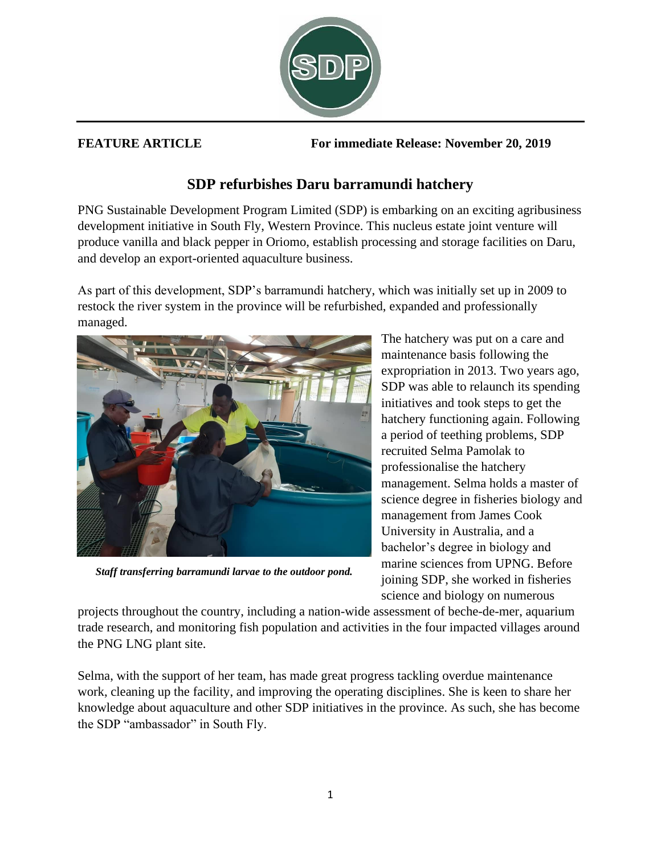

**FEATURE ARTICLE For immediate Release: November 20, 2019**

## **SDP refurbishes Daru barramundi hatchery**

PNG Sustainable Development Program Limited (SDP) is embarking on an exciting agribusiness development initiative in South Fly, Western Province. This nucleus estate joint venture will produce vanilla and black pepper in Oriomo, establish processing and storage facilities on Daru, and develop an export-oriented aquaculture business.

As part of this development, SDP's barramundi hatchery, which was initially set up in 2009 to restock the river system in the province will be refurbished, expanded and professionally managed.



*Staff transferring barramundi larvae to the outdoor pond.*

The hatchery was put on a care and maintenance basis following the expropriation in 2013. Two years ago, SDP was able to relaunch its spending initiatives and took steps to get the hatchery functioning again. Following a period of teething problems, SDP recruited Selma Pamolak to professionalise the hatchery management. Selma holds a master of science degree in fisheries biology and management from James Cook University in Australia, and a bachelor's degree in biology and marine sciences from UPNG. Before joining SDP, she worked in fisheries science and biology on numerous

projects throughout the country, including a nation-wide assessment of beche-de-mer, aquarium trade research, and monitoring fish population and activities in the four impacted villages around the PNG LNG plant site.

Selma, with the support of her team, has made great progress tackling overdue maintenance work, cleaning up the facility, and improving the operating disciplines. She is keen to share her knowledge about aquaculture and other SDP initiatives in the province. As such, she has become the SDP "ambassador" in South Fly.